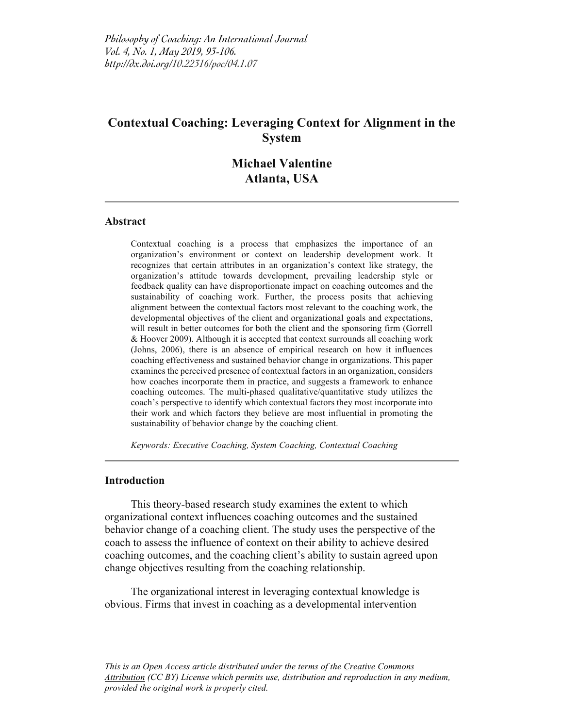# **Contextual Coaching: Leveraging Context for Alignment in the System**

# **Michael Valentine Atlanta, USA**

#### **Abstract**

Contextual coaching is a process that emphasizes the importance of an organization's environment or context on leadership development work. It recognizes that certain attributes in an organization's context like strategy, the organization's attitude towards development, prevailing leadership style or feedback quality can have disproportionate impact on coaching outcomes and the sustainability of coaching work. Further, the process posits that achieving alignment between the contextual factors most relevant to the coaching work, the developmental objectives of the client and organizational goals and expectations, will result in better outcomes for both the client and the sponsoring firm (Gorrell & Hoover 2009). Although it is accepted that context surrounds all coaching work (Johns, 2006), there is an absence of empirical research on how it influences coaching effectiveness and sustained behavior change in organizations. This paper examines the perceived presence of contextual factors in an organization, considers how coaches incorporate them in practice, and suggests a framework to enhance coaching outcomes. The multi-phased qualitative/quantitative study utilizes the coach's perspective to identify which contextual factors they most incorporate into their work and which factors they believe are most influential in promoting the sustainability of behavior change by the coaching client.

*Keywords: Executive Coaching, System Coaching, Contextual Coaching*

#### **Introduction**

This theory-based research study examines the extent to which organizational context influences coaching outcomes and the sustained behavior change of a coaching client. The study uses the perspective of the coach to assess the influence of context on their ability to achieve desired coaching outcomes, and the coaching client's ability to sustain agreed upon change objectives resulting from the coaching relationship.

The organizational interest in leveraging contextual knowledge is obvious. Firms that invest in coaching as a developmental intervention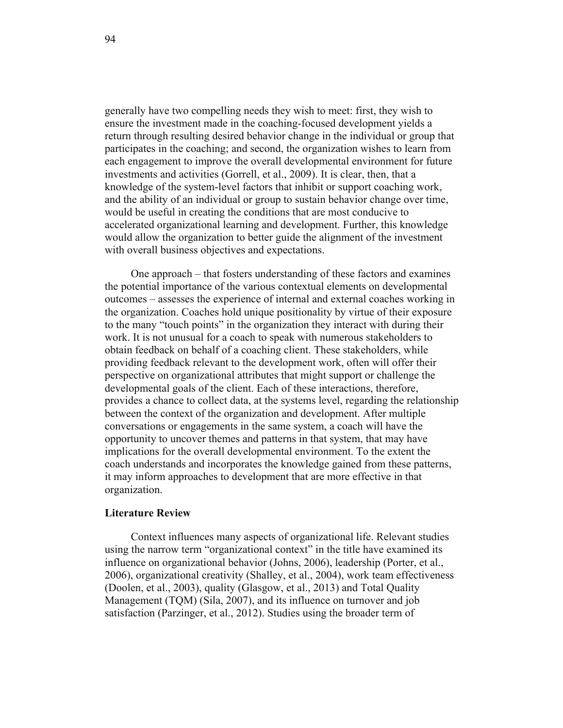generally have two compelling needs they wish to meet: first, they wish to ensure the investment made in the coaching-focused development yields a return through resulting desired behavior change in the individual or group that participates in the coaching; and second, the organization wishes to learn from each engagement to improve the overall developmental environment for future investments and activities (Gorrell, et al., 2009). It is clear, then, that a knowledge of the system-level factors that inhibit or support coaching work, and the ability of an individual or group to sustain behavior change over time, would be useful in creating the conditions that are most conducive to accelerated organizational learning and development. Further, this knowledge would allow the organization to better guide the alignment of the investment with overall business objectives and expectations.

One approach – that fosters understanding of these factors and examines the potential importance of the various contextual elements on developmental outcomes – assesses the experience of internal and external coaches working in the organization. Coaches hold unique positionality by virtue of their exposure to the many "touch points" in the organization they interact with during their work. It is not unusual for a coach to speak with numerous stakeholders to obtain feedback on behalf of a coaching client. These stakeholders, while providing feedback relevant to the development work, often will offer their perspective on organizational attributes that might support or challenge the developmental goals of the client. Each of these interactions, therefore, provides a chance to collect data, at the systems level, regarding the relationship between the context of the organization and development. After multiple conversations or engagements in the same system, a coach will have the opportunity to uncover themes and patterns in that system, that may have implications for the overall developmental environment. To the extent the coach understands and incorporates the knowledge gained from these patterns, it may inform approaches to development that are more effective in that organization.

## **Literature Review**

Context influences many aspects of organizational life. Relevant studies using the narrow term "organizational context" in the title have examined its influence on organizational behavior (Johns, 2006), leadership (Porter, et al., 2006), organizational creativity (Shalley, et al., 2004), work team effectiveness (Doolen, et al., 2003), quality (Glasgow, et al., 2013) and Total Quality Management (TQM) (Sila, 2007), and its influence on turnover and job satisfaction (Parzinger, et al., 2012). Studies using the broader term of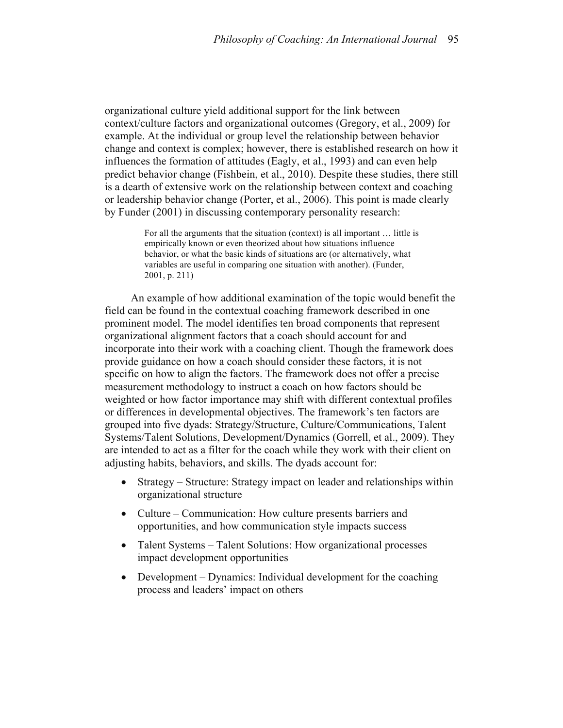organizational culture yield additional support for the link between context/culture factors and organizational outcomes (Gregory, et al., 2009) for example. At the individual or group level the relationship between behavior change and context is complex; however, there is established research on how it influences the formation of attitudes (Eagly, et al., 1993) and can even help predict behavior change (Fishbein, et al., 2010). Despite these studies, there still is a dearth of extensive work on the relationship between context and coaching or leadership behavior change (Porter, et al., 2006). This point is made clearly by Funder (2001) in discussing contemporary personality research:

> For all the arguments that the situation (context) is all important … little is empirically known or even theorized about how situations influence behavior, or what the basic kinds of situations are (or alternatively, what variables are useful in comparing one situation with another). (Funder, 2001, p. 211)

An example of how additional examination of the topic would benefit the field can be found in the contextual coaching framework described in one prominent model. The model identifies ten broad components that represent organizational alignment factors that a coach should account for and incorporate into their work with a coaching client. Though the framework does provide guidance on how a coach should consider these factors, it is not specific on how to align the factors. The framework does not offer a precise measurement methodology to instruct a coach on how factors should be weighted or how factor importance may shift with different contextual profiles or differences in developmental objectives. The framework's ten factors are grouped into five dyads: Strategy/Structure, Culture/Communications, Talent Systems/Talent Solutions, Development/Dynamics (Gorrell, et al., 2009). They are intended to act as a filter for the coach while they work with their client on adjusting habits, behaviors, and skills. The dyads account for:

- Strategy Structure: Strategy impact on leader and relationships within organizational structure
- Culture Communication: How culture presents barriers and opportunities, and how communication style impacts success
- Talent Systems Talent Solutions: How organizational processes impact development opportunities
- Development Dynamics: Individual development for the coaching process and leaders' impact on others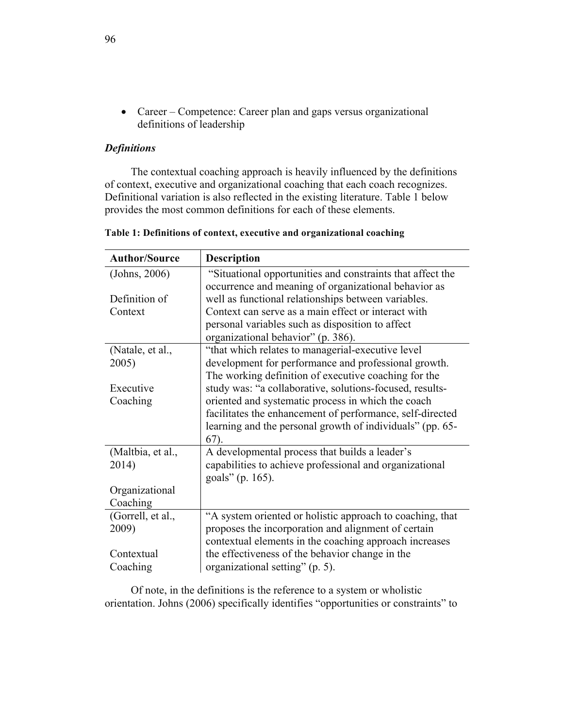• Career – Competence: Career plan and gaps versus organizational definitions of leadership

# *Definitions*

The contextual coaching approach is heavily influenced by the definitions of context, executive and organizational coaching that each coach recognizes. Definitional variation is also reflected in the existing literature. Table 1 below provides the most common definitions for each of these elements.

| <b>Author/Source</b> | <b>Description</b>                                         |
|----------------------|------------------------------------------------------------|
| (Johns, 2006)        | "Situational opportunities and constraints that affect the |
|                      | occurrence and meaning of organizational behavior as       |
| Definition of        | well as functional relationships between variables.        |
| Context              | Context can serve as a main effect or interact with        |
|                      | personal variables such as disposition to affect           |
|                      | organizational behavior" (p. 386).                         |
| (Natale, et al.,     | "that which relates to managerial-executive level"         |
| 2005)                | development for performance and professional growth.       |
|                      | The working definition of executive coaching for the       |
| Executive            | study was: "a collaborative, solutions-focused, results-   |
| Coaching             | oriented and systematic process in which the coach         |
|                      | facilitates the enhancement of performance, self-directed  |
|                      | learning and the personal growth of individuals" (pp. 65-  |
|                      | $67)$ .                                                    |
| (Maltbia, et al.,    | A developmental process that builds a leader's             |
| 2014)                | capabilities to achieve professional and organizational    |
|                      | goals" (p. 165).                                           |
| Organizational       |                                                            |
| Coaching             |                                                            |
| (Gorrell, et al.,    | "A system oriented or holistic approach to coaching, that  |
| 2009)                | proposes the incorporation and alignment of certain        |
|                      | contextual elements in the coaching approach increases     |
| Contextual           | the effectiveness of the behavior change in the            |
| Coaching             | organizational setting" (p. 5).                            |

**Table 1: Definitions of context, executive and organizational coaching**

Of note, in the definitions is the reference to a system or wholistic orientation. Johns (2006) specifically identifies "opportunities or constraints" to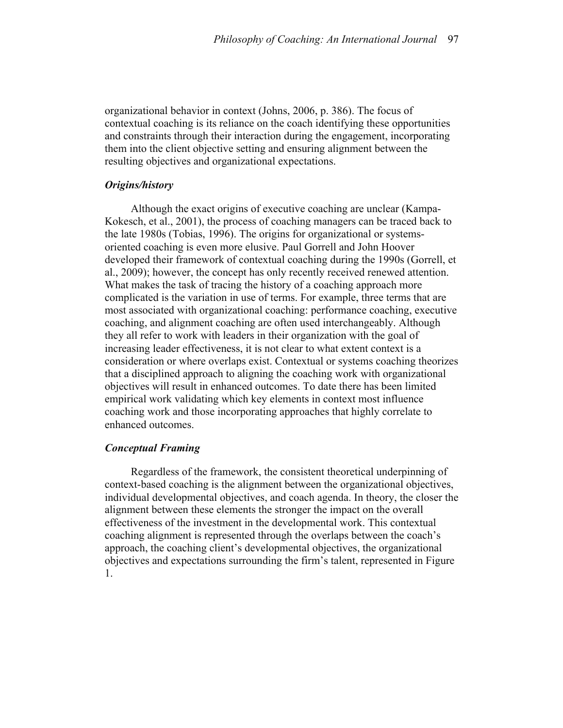organizational behavior in context (Johns, 2006, p. 386). The focus of contextual coaching is its reliance on the coach identifying these opportunities and constraints through their interaction during the engagement, incorporating them into the client objective setting and ensuring alignment between the resulting objectives and organizational expectations.

## *Origins/history*

Although the exact origins of executive coaching are unclear (Kampa-Kokesch, et al., 2001), the process of coaching managers can be traced back to the late 1980s (Tobias, 1996). The origins for organizational or systemsoriented coaching is even more elusive. Paul Gorrell and John Hoover developed their framework of contextual coaching during the 1990s (Gorrell, et al., 2009); however, the concept has only recently received renewed attention. What makes the task of tracing the history of a coaching approach more complicated is the variation in use of terms. For example, three terms that are most associated with organizational coaching: performance coaching, executive coaching, and alignment coaching are often used interchangeably. Although they all refer to work with leaders in their organization with the goal of increasing leader effectiveness, it is not clear to what extent context is a consideration or where overlaps exist. Contextual or systems coaching theorizes that a disciplined approach to aligning the coaching work with organizational objectives will result in enhanced outcomes. To date there has been limited empirical work validating which key elements in context most influence coaching work and those incorporating approaches that highly correlate to enhanced outcomes.

#### *Conceptual Framing*

Regardless of the framework, the consistent theoretical underpinning of context-based coaching is the alignment between the organizational objectives, individual developmental objectives, and coach agenda. In theory, the closer the alignment between these elements the stronger the impact on the overall effectiveness of the investment in the developmental work. This contextual coaching alignment is represented through the overlaps between the coach's approach, the coaching client's developmental objectives, the organizational objectives and expectations surrounding the firm's talent, represented in Figure 1.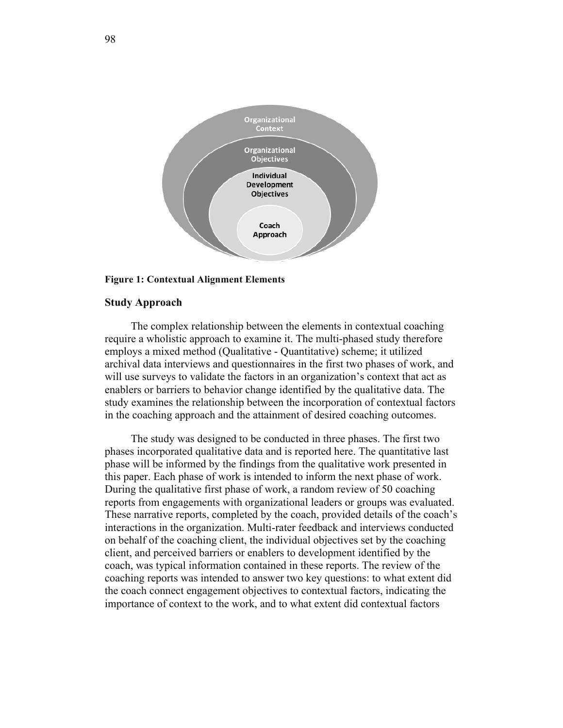

#### **Figure 1: Contextual Alignment Elements**

## **Study Approach**

The complex relationship between the elements in contextual coaching require a wholistic approach to examine it. The multi-phased study therefore employs a mixed method (Qualitative - Quantitative) scheme; it utilized archival data interviews and questionnaires in the first two phases of work, and will use surveys to validate the factors in an organization's context that act as enablers or barriers to behavior change identified by the qualitative data. The study examines the relationship between the incorporation of contextual factors in the coaching approach and the attainment of desired coaching outcomes.

The study was designed to be conducted in three phases. The first two phases incorporated qualitative data and is reported here. The quantitative last phase will be informed by the findings from the qualitative work presented in this paper. Each phase of work is intended to inform the next phase of work. During the qualitative first phase of work, a random review of 50 coaching reports from engagements with organizational leaders or groups was evaluated. These narrative reports, completed by the coach, provided details of the coach's interactions in the organization. Multi-rater feedback and interviews conducted on behalf of the coaching client, the individual objectives set by the coaching client, and perceived barriers or enablers to development identified by the coach, was typical information contained in these reports. The review of the coaching reports was intended to answer two key questions: to what extent did the coach connect engagement objectives to contextual factors, indicating the importance of context to the work, and to what extent did contextual factors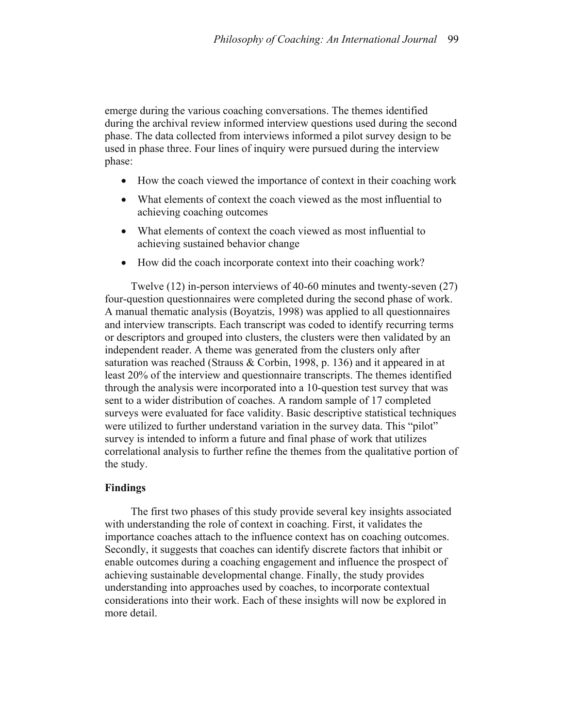emerge during the various coaching conversations. The themes identified during the archival review informed interview questions used during the second phase. The data collected from interviews informed a pilot survey design to be used in phase three. Four lines of inquiry were pursued during the interview phase:

- How the coach viewed the importance of context in their coaching work
- What elements of context the coach viewed as the most influential to achieving coaching outcomes
- What elements of context the coach viewed as most influential to achieving sustained behavior change
- How did the coach incorporate context into their coaching work?

Twelve (12) in-person interviews of 40-60 minutes and twenty-seven (27) four-question questionnaires were completed during the second phase of work. A manual thematic analysis (Boyatzis, 1998) was applied to all questionnaires and interview transcripts. Each transcript was coded to identify recurring terms or descriptors and grouped into clusters, the clusters were then validated by an independent reader. A theme was generated from the clusters only after saturation was reached (Strauss & Corbin, 1998, p. 136) and it appeared in at least 20% of the interview and questionnaire transcripts. The themes identified through the analysis were incorporated into a 10-question test survey that was sent to a wider distribution of coaches. A random sample of 17 completed surveys were evaluated for face validity. Basic descriptive statistical techniques were utilized to further understand variation in the survey data. This "pilot" survey is intended to inform a future and final phase of work that utilizes correlational analysis to further refine the themes from the qualitative portion of the study.

### **Findings**

The first two phases of this study provide several key insights associated with understanding the role of context in coaching. First, it validates the importance coaches attach to the influence context has on coaching outcomes. Secondly, it suggests that coaches can identify discrete factors that inhibit or enable outcomes during a coaching engagement and influence the prospect of achieving sustainable developmental change. Finally, the study provides understanding into approaches used by coaches, to incorporate contextual considerations into their work. Each of these insights will now be explored in more detail.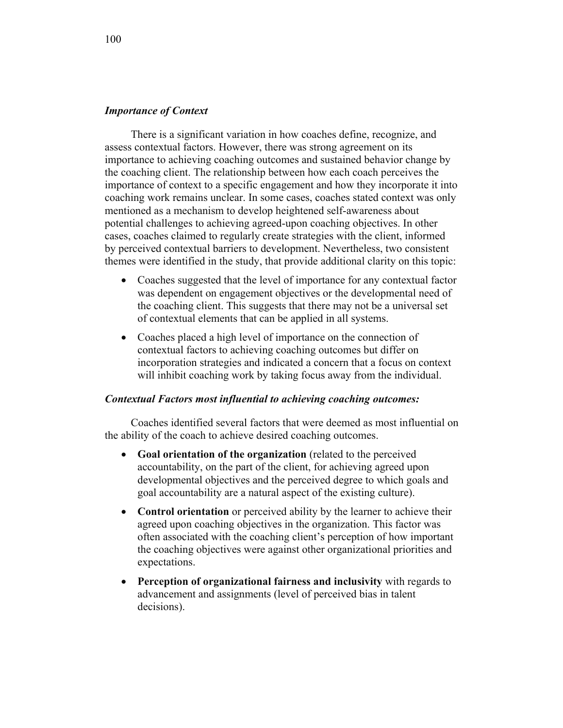## *Importance of Context*

There is a significant variation in how coaches define, recognize, and assess contextual factors. However, there was strong agreement on its importance to achieving coaching outcomes and sustained behavior change by the coaching client. The relationship between how each coach perceives the importance of context to a specific engagement and how they incorporate it into coaching work remains unclear. In some cases, coaches stated context was only mentioned as a mechanism to develop heightened self-awareness about potential challenges to achieving agreed-upon coaching objectives. In other cases, coaches claimed to regularly create strategies with the client, informed by perceived contextual barriers to development. Nevertheless, two consistent themes were identified in the study, that provide additional clarity on this topic:

- Coaches suggested that the level of importance for any contextual factor was dependent on engagement objectives or the developmental need of the coaching client. This suggests that there may not be a universal set of contextual elements that can be applied in all systems.
- Coaches placed a high level of importance on the connection of contextual factors to achieving coaching outcomes but differ on incorporation strategies and indicated a concern that a focus on context will inhibit coaching work by taking focus away from the individual.

## *Contextual Factors most influential to achieving coaching outcomes:*

Coaches identified several factors that were deemed as most influential on the ability of the coach to achieve desired coaching outcomes.

- **Goal orientation of the organization** (related to the perceived accountability, on the part of the client, for achieving agreed upon developmental objectives and the perceived degree to which goals and goal accountability are a natural aspect of the existing culture).
- **Control orientation** or perceived ability by the learner to achieve their agreed upon coaching objectives in the organization. This factor was often associated with the coaching client's perception of how important the coaching objectives were against other organizational priorities and expectations.
- **Perception of organizational fairness and inclusivity** with regards to advancement and assignments (level of perceived bias in talent decisions).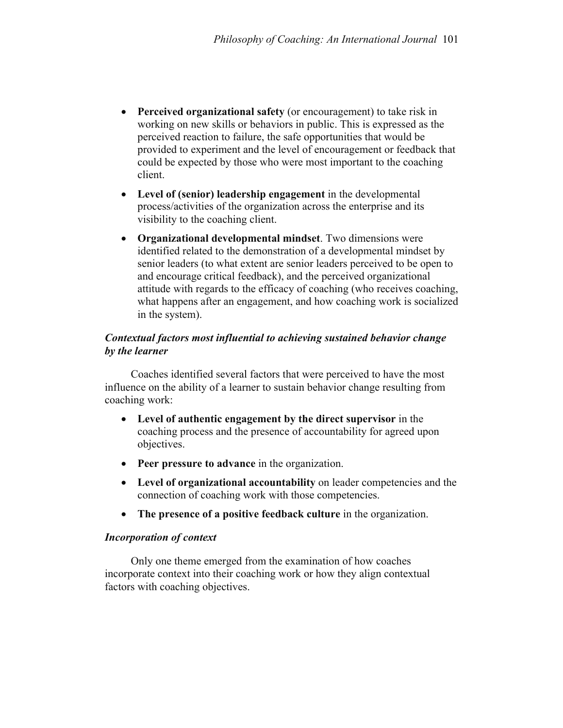- **Perceived organizational safety** (or encouragement) to take risk in working on new skills or behaviors in public. This is expressed as the perceived reaction to failure, the safe opportunities that would be provided to experiment and the level of encouragement or feedback that could be expected by those who were most important to the coaching client.
- **Level of (senior) leadership engagement** in the developmental process/activities of the organization across the enterprise and its visibility to the coaching client.
- **Organizational developmental mindset**. Two dimensions were identified related to the demonstration of a developmental mindset by senior leaders (to what extent are senior leaders perceived to be open to and encourage critical feedback), and the perceived organizational attitude with regards to the efficacy of coaching (who receives coaching, what happens after an engagement, and how coaching work is socialized in the system).

# *Contextual factors most influential to achieving sustained behavior change by the learner*

Coaches identified several factors that were perceived to have the most influence on the ability of a learner to sustain behavior change resulting from coaching work:

- **Level of authentic engagement by the direct supervisor** in the coaching process and the presence of accountability for agreed upon objectives.
- **Peer pressure to advance** in the organization.
- **Level of organizational accountability** on leader competencies and the connection of coaching work with those competencies.
- **The presence of a positive feedback culture** in the organization.

## *Incorporation of context*

Only one theme emerged from the examination of how coaches incorporate context into their coaching work or how they align contextual factors with coaching objectives.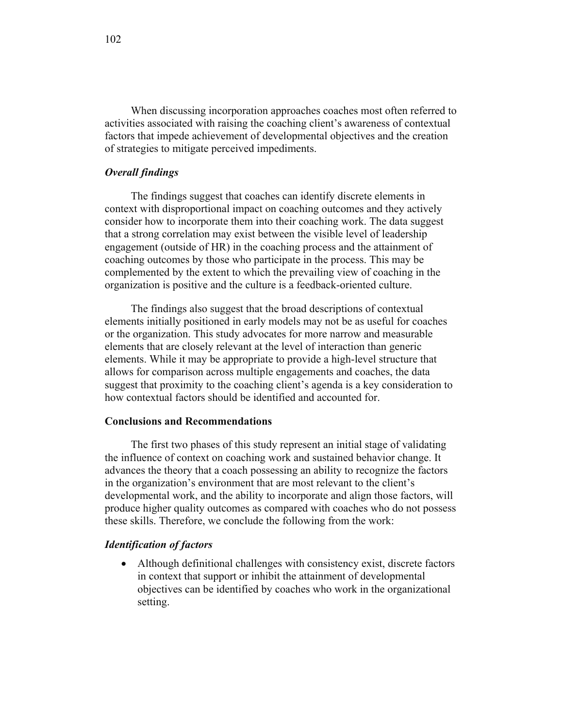When discussing incorporation approaches coaches most often referred to activities associated with raising the coaching client's awareness of contextual factors that impede achievement of developmental objectives and the creation of strategies to mitigate perceived impediments.

#### *Overall findings*

The findings suggest that coaches can identify discrete elements in context with disproportional impact on coaching outcomes and they actively consider how to incorporate them into their coaching work. The data suggest that a strong correlation may exist between the visible level of leadership engagement (outside of HR) in the coaching process and the attainment of coaching outcomes by those who participate in the process. This may be complemented by the extent to which the prevailing view of coaching in the organization is positive and the culture is a feedback-oriented culture.

The findings also suggest that the broad descriptions of contextual elements initially positioned in early models may not be as useful for coaches or the organization. This study advocates for more narrow and measurable elements that are closely relevant at the level of interaction than generic elements. While it may be appropriate to provide a high-level structure that allows for comparison across multiple engagements and coaches, the data suggest that proximity to the coaching client's agenda is a key consideration to how contextual factors should be identified and accounted for.

## **Conclusions and Recommendations**

The first two phases of this study represent an initial stage of validating the influence of context on coaching work and sustained behavior change. It advances the theory that a coach possessing an ability to recognize the factors in the organization's environment that are most relevant to the client's developmental work, and the ability to incorporate and align those factors, will produce higher quality outcomes as compared with coaches who do not possess these skills. Therefore, we conclude the following from the work:

#### *Identification of factors*

• Although definitional challenges with consistency exist, discrete factors in context that support or inhibit the attainment of developmental objectives can be identified by coaches who work in the organizational setting.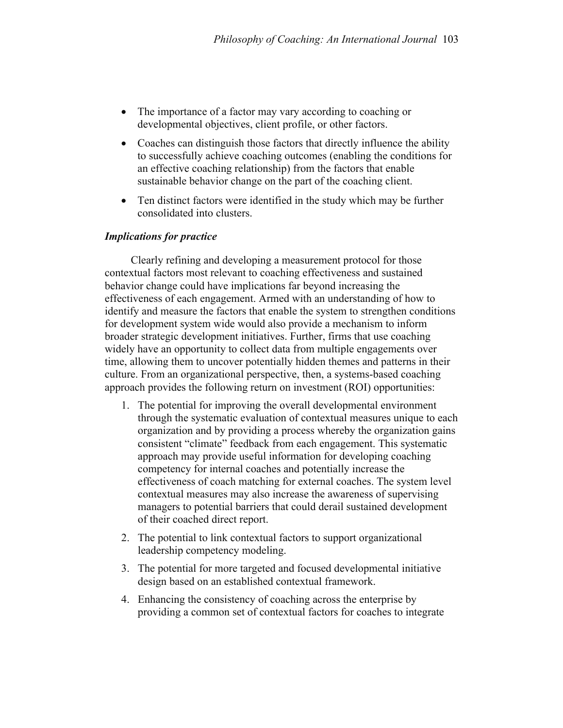- The importance of a factor may vary according to coaching or developmental objectives, client profile, or other factors.
- Coaches can distinguish those factors that directly influence the ability to successfully achieve coaching outcomes (enabling the conditions for an effective coaching relationship) from the factors that enable sustainable behavior change on the part of the coaching client.
- Ten distinct factors were identified in the study which may be further consolidated into clusters.

# *Implications for practice*

Clearly refining and developing a measurement protocol for those contextual factors most relevant to coaching effectiveness and sustained behavior change could have implications far beyond increasing the effectiveness of each engagement. Armed with an understanding of how to identify and measure the factors that enable the system to strengthen conditions for development system wide would also provide a mechanism to inform broader strategic development initiatives. Further, firms that use coaching widely have an opportunity to collect data from multiple engagements over time, allowing them to uncover potentially hidden themes and patterns in their culture. From an organizational perspective, then, a systems-based coaching approach provides the following return on investment (ROI) opportunities:

- 1. The potential for improving the overall developmental environment through the systematic evaluation of contextual measures unique to each organization and by providing a process whereby the organization gains consistent "climate" feedback from each engagement. This systematic approach may provide useful information for developing coaching competency for internal coaches and potentially increase the effectiveness of coach matching for external coaches. The system level contextual measures may also increase the awareness of supervising managers to potential barriers that could derail sustained development of their coached direct report.
- 2. The potential to link contextual factors to support organizational leadership competency modeling.
- 3. The potential for more targeted and focused developmental initiative design based on an established contextual framework.
- 4. Enhancing the consistency of coaching across the enterprise by providing a common set of contextual factors for coaches to integrate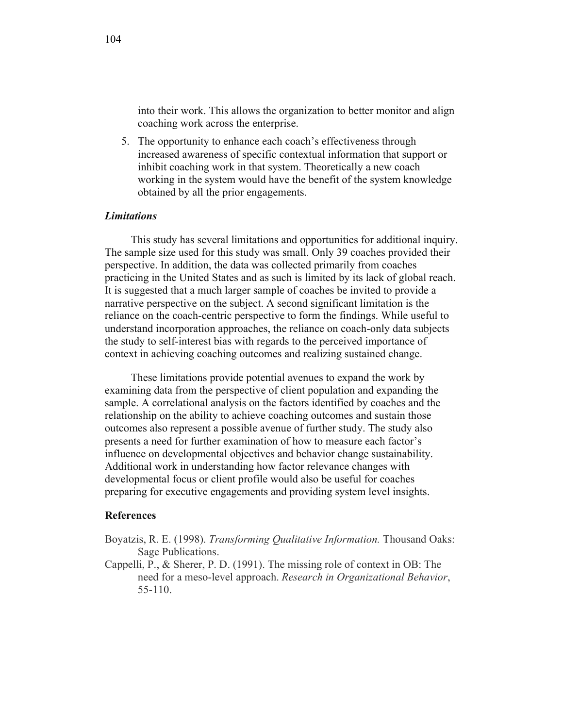into their work. This allows the organization to better monitor and align coaching work across the enterprise.

5. The opportunity to enhance each coach's effectiveness through increased awareness of specific contextual information that support or inhibit coaching work in that system. Theoretically a new coach working in the system would have the benefit of the system knowledge obtained by all the prior engagements.

#### *Limitations*

This study has several limitations and opportunities for additional inquiry. The sample size used for this study was small. Only 39 coaches provided their perspective. In addition, the data was collected primarily from coaches practicing in the United States and as such is limited by its lack of global reach. It is suggested that a much larger sample of coaches be invited to provide a narrative perspective on the subject. A second significant limitation is the reliance on the coach-centric perspective to form the findings. While useful to understand incorporation approaches, the reliance on coach-only data subjects the study to self-interest bias with regards to the perceived importance of context in achieving coaching outcomes and realizing sustained change.

These limitations provide potential avenues to expand the work by examining data from the perspective of client population and expanding the sample. A correlational analysis on the factors identified by coaches and the relationship on the ability to achieve coaching outcomes and sustain those outcomes also represent a possible avenue of further study. The study also presents a need for further examination of how to measure each factor's influence on developmental objectives and behavior change sustainability. Additional work in understanding how factor relevance changes with developmental focus or client profile would also be useful for coaches preparing for executive engagements and providing system level insights.

#### **References**

- Boyatzis, R. E. (1998). *Transforming Qualitative Information.* Thousand Oaks: Sage Publications.
- Cappelli, P., & Sherer, P. D. (1991). The missing role of context in OB: The need for a meso-level approach. *Research in Organizational Behavior*, 55-110.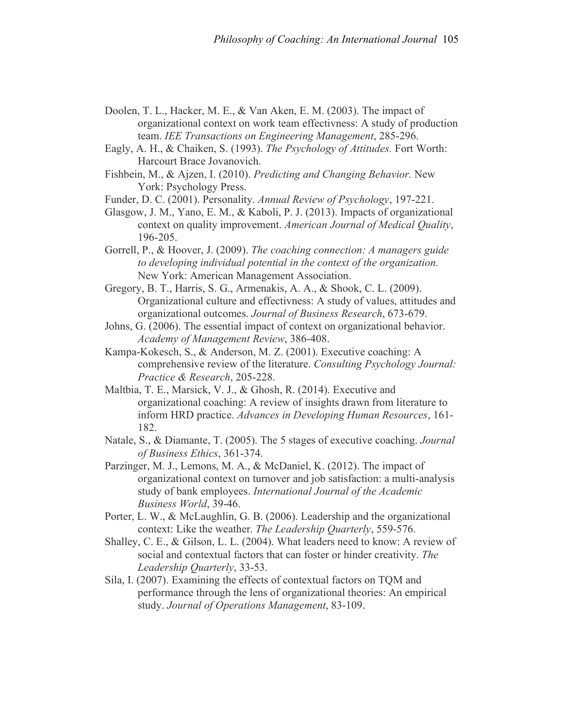- Doolen, T. L., Hacker, M. E., & Van Aken, E. M. (2003). The impact of organizational context on work team effectivness: A study of production team. *IEE Transactions on Engineering Management*, 285-296.
- Eagly, A. H., & Chaiken, S. (1993). *The Psychology of Attitudes.* Fort Worth: Harcourt Brace Jovanovich.
- Fishbein, M., & Ajzen, I. (2010). *Predicting and Changing Behavior.* New York: Psychology Press.
- Funder, D. C. (2001). Personality. *Annual Review of Psychology*, 197-221.
- Glasgow, J. M., Yano, E. M., & Kaboli, P. J. (2013). Impacts of organizational context on quality improvement. *American Journal of Medical Quality*, 196-205.
- Gorrell, P., & Hoover, J. (2009). *The coaching connection: A managers guide to developing individual potential in the context of the organization.* New York: American Management Association.
- Gregory, B. T., Harris, S. G., Armenakis, A. A., & Shook, C. L. (2009). Organizational culture and effectivness: A study of values, attitudes and organizational outcomes. *Journal of Business Research*, 673-679.
- Johns, G. (2006). The essential impact of context on organizational behavior. *Academy of Management Review*, 386-408.
- Kampa-Kokesch, S., & Anderson, M. Z. (2001). Executive coaching: A comprehensive review of the literature. *Consulting Psychology Journal: Practice & Research*, 205-228.
- Maltbia, T. E., Marsick, V. J., & Ghosh, R. (2014). Executive and organizational coaching: A review of insights drawn from literature to inform HRD practice. *Advances in Developing Human Resources*, 161- 182.
- Natale, S., & Diamante, T. (2005). The 5 stages of executive coaching. *Journal of Business Ethics*, 361-374.
- Parzinger, M. J., Lemons, M. A., & McDaniel, K. (2012). The impact of organizational context on turnover and job satisfaction: a multi-analysis study of bank employees. *International Journal of the Academic Business World*, 39-46.
- Porter, L. W., & McLaughlin, G. B. (2006). Leadership and the organizational context: Like the weather. *The Leadership Quarterly*, 559-576.
- Shalley, C. E., & Gilson, L. L. (2004). What leaders need to know: A review of social and contextual factors that can foster or hinder creativity. *The Leadership Quarterly*, 33-53.
- Sila, I. (2007). Examining the effects of contextual factors on TQM and performance through the lens of organizational theories: An empirical study. *Journal of Operations Management*, 83-109.